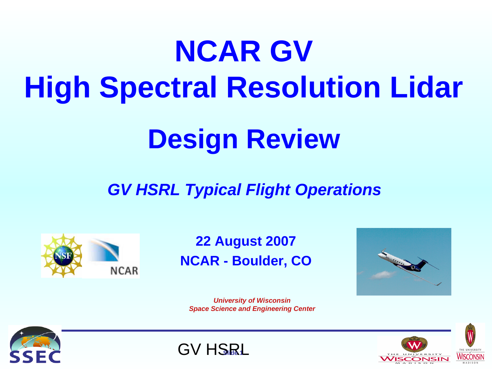# **NCAR GV High Spectral Resolution Lidar**

## **Design Review**

#### *GV HSRL Typical Flight Operations*



#### **22 August 2007 NCAR - Boulder, CO**



*University of Wisconsin Space Science and Engineering Center*





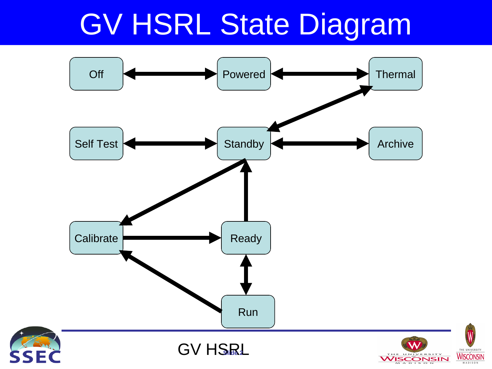### GV HSRL State Diagram

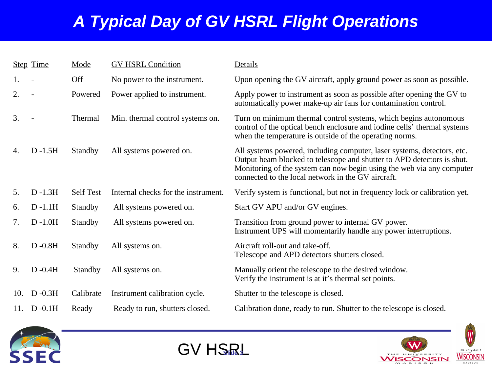#### *A Typical Day of GV HSRL Flight Operations*

|     | <b>Step Time</b> | Mode             | <b>GV HSRL Condition</b>            | Details                                                                                                                                                                                                                                                                          |
|-----|------------------|------------------|-------------------------------------|----------------------------------------------------------------------------------------------------------------------------------------------------------------------------------------------------------------------------------------------------------------------------------|
| 1.  |                  | Off              | No power to the instrument.         | Upon opening the GV aircraft, apply ground power as soon as possible.                                                                                                                                                                                                            |
| 2.  |                  | Powered          | Power applied to instrument.        | Apply power to instrument as soon as possible after opening the GV to<br>automatically power make-up air fans for contamination control.                                                                                                                                         |
| 3.  |                  | Thermal          | Min. thermal control systems on.    | Turn on minimum thermal control systems, which begins autonomous<br>control of the optical bench enclosure and iodine cells' thermal systems<br>when the temperature is outside of the operating norms.                                                                          |
| 4.  | $D - 1.5H$       | <b>Standby</b>   | All systems powered on.             | All systems powered, including computer, laser systems, detectors, etc.<br>Output beam blocked to telescope and shutter to APD detectors is shut.<br>Monitoring of the system can now begin using the web via any computer<br>connected to the local network in the GV aircraft. |
| 5.  | $D - 1.3H$       | <b>Self Test</b> | Internal checks for the instrument. | Verify system is functional, but not in frequency lock or calibration yet.                                                                                                                                                                                                       |
| 6.  | $D -1.1H$        | <b>Standby</b>   | All systems powered on.             | Start GV APU and/or GV engines.                                                                                                                                                                                                                                                  |
| 7.  | $D - 1.0H$       | Standby          | All systems powered on.             | Transition from ground power to internal GV power.<br>Instrument UPS will momentarily handle any power interruptions.                                                                                                                                                            |
| 8.  | $D - 0.8H$       | <b>Standby</b>   | All systems on.                     | Aircraft roll-out and take-off.<br>Telescope and APD detectors shutters closed.                                                                                                                                                                                                  |
| 9.  | $D -0.4H$        | Standby          | All systems on.                     | Manually orient the telescope to the desired window.<br>Verify the instrument is at it's thermal set points.                                                                                                                                                                     |
| 10. | $D - 0.3H$       | Calibrate        | Instrument calibration cycle.       | Shutter to the telescope is closed.                                                                                                                                                                                                                                              |
|     | 11. D-0.1H       | Ready            | Ready to run, shutters closed.      | Calibration done, ready to run. Shutter to the telescope is closed.                                                                                                                                                                                                              |